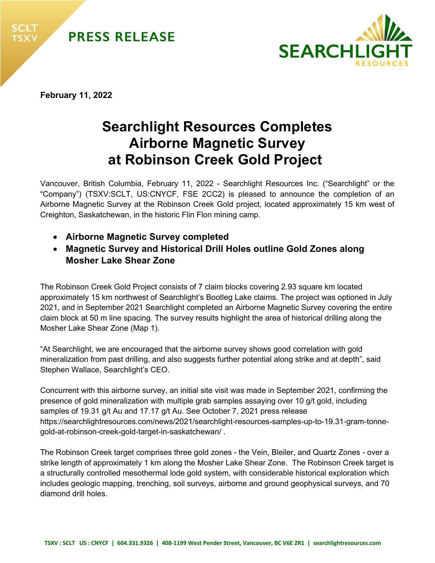



**February 11, 2022** 

# **Searchlight Resources Completes Airborne Magnetic Survey at Robinson Creek Gold Project**

Vancouver, British Columbia, February 11, 2022 - Searchlight Resources Inc. ("Searchlight" or the "Company") (TSXV:SCLT, US:CNYCF, FSE 2CC2) is pleased to announce the completion of an Airborne Magnetic Survey at the Robinson Creek Gold project, located approximately 15 km west of Creighton, Saskatchewan, in the historic Flin Flon mining camp.

- **Airborne Magnetic Survey completed**
- **Magnetic Survey and Historical Drill Holes outline Gold Zones along Mosher Lake Shear Zone**

The Robinson Creek Gold Project consists of 7 claim blocks covering 2.93 square km located approximately 15 km northwest of Searchlight's Bootleg Lake claims. The project was optioned in July 2021, and in September 2021 Searchlight completed an Airborne Magnetic Survey covering the entire claim block at 50 m line spacing. The survey results highlight the area of historical drilling along the Mosher Lake Shear Zone (Map 1).

"At Searchlight, we are encouraged that the airborne survey shows good correlation with gold mineralization from past drilling, and also suggests further potential along strike and at depth", said Stephen Wallace, Searchlight's CEO.

Concurrent with this airborne survey, an initial site visit was made in September 2021, confirming the presence of gold mineralization with multiple grab samples assaying over 10 g/t gold, including samples of 19.31 g/t Au and 17.17 g/t Au. See October 7, 2021 press release https://searchlightresources.com/news/2021/searchlight-resources-samples-up-to-19.31-gram-tonnegold-at-robinson-creek-gold-target-in-saskatchewan/ .

The Robinson Creek target comprises three gold zones - the Vein, Bleiler, and Quartz Zones - over a strike length of approximately 1 km along the Mosher Lake Shear Zone. The Robinson Creek target is a structurally controlled mesothermal lode gold system, with considerable historical exploration which includes geologic mapping, trenching, soil surveys, airborne and ground geophysical surveys, and 70 diamond drill holes.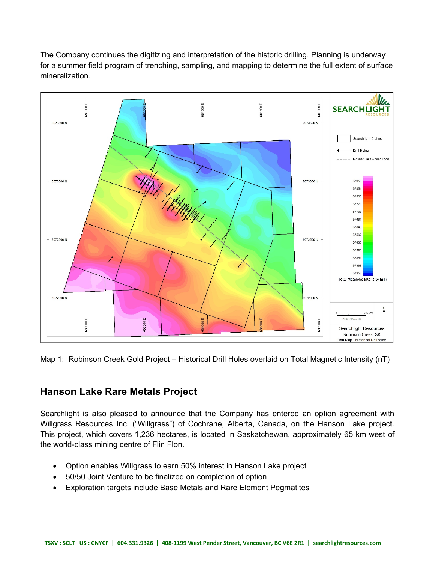The Company continues the digitizing and interpretation of the historic drilling. Planning is underway for a summer field program of trenching, sampling, and mapping to determine the full extent of surface mineralization.



Map 1: Robinson Creek Gold Project – Historical Drill Holes overlaid on Total Magnetic Intensity (nT)

## **Hanson Lake Rare Metals Project**

Searchlight is also pleased to announce that the Company has entered an option agreement with Willgrass Resources Inc. ("Willgrass") of Cochrane, Alberta, Canada, on the Hanson Lake project. This project, which covers 1,236 hectares, is located in Saskatchewan, approximately 65 km west of the world-class mining centre of Flin Flon.

- Option enables Willgrass to earn 50% interest in Hanson Lake project
- 50/50 Joint Venture to be finalized on completion of option
- Exploration targets include Base Metals and Rare Element Pegmatites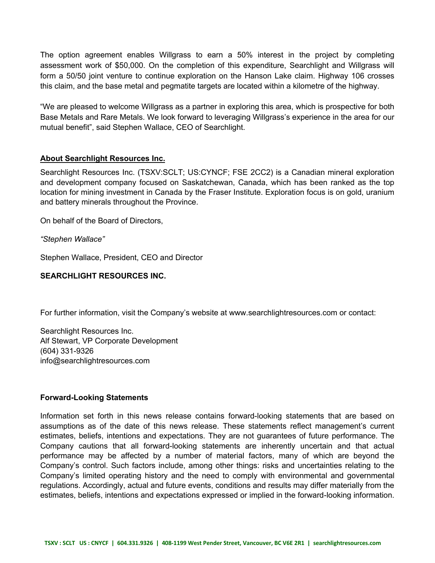The option agreement enables Willgrass to earn a 50% interest in the project by completing assessment work of \$50,000. On the completion of this expenditure, Searchlight and Willgrass will form a 50/50 joint venture to continue exploration on the Hanson Lake claim. Highway 106 crosses this claim, and the base metal and pegmatite targets are located within a kilometre of the highway.

"We are pleased to welcome Willgrass as a partner in exploring this area, which is prospective for both Base Metals and Rare Metals. We look forward to leveraging Willgrass's experience in the area for our mutual benefit", said Stephen Wallace, CEO of Searchlight.

#### **About Searchlight Resources Inc.**

Searchlight Resources Inc. (TSXV:SCLT; US:CYNCF; FSE 2CC2) is a Canadian mineral exploration and development company focused on Saskatchewan, Canada, which has been ranked as the top location for mining investment in Canada by the Fraser Institute. Exploration focus is on gold, uranium and battery minerals throughout the Province.

On behalf of the Board of Directors,

*"Stephen Wallace"* 

Stephen Wallace, President, CEO and Director

### **SEARCHLIGHT RESOURCES INC.**

For further information, visit the Company's website at www.searchlightresources.com or contact:

Searchlight Resources Inc. Alf Stewart, VP Corporate Development (604) 331-9326 info@searchlightresources.com

#### **Forward-Looking Statements**

Information set forth in this news release contains forward-looking statements that are based on assumptions as of the date of this news release. These statements reflect management's current estimates, beliefs, intentions and expectations. They are not guarantees of future performance. The Company cautions that all forward-looking statements are inherently uncertain and that actual performance may be affected by a number of material factors, many of which are beyond the Company's control. Such factors include, among other things: risks and uncertainties relating to the Company's limited operating history and the need to comply with environmental and governmental regulations. Accordingly, actual and future events, conditions and results may differ materially from the estimates, beliefs, intentions and expectations expressed or implied in the forward-looking information.